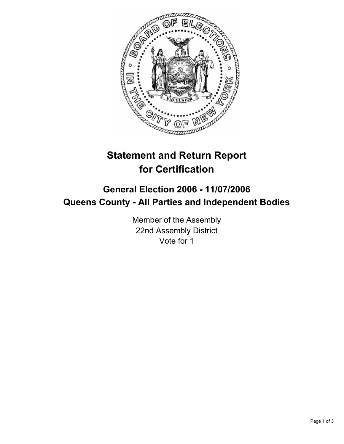

# **Statement and Return Report for Certification**

## **General Election 2006 - 11/07/2006 Queens County - All Parties and Independent Bodies**

Member of the Assembly 22nd Assembly District Vote for 1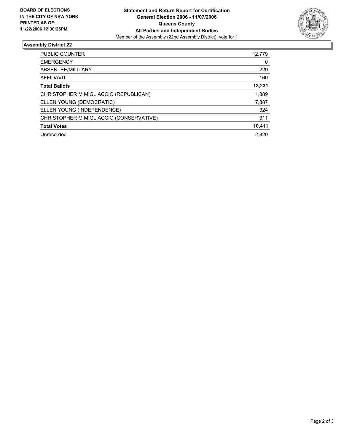

### **Assembly District 22**

| PUBLIC COUNTER                          | 12,779 |
|-----------------------------------------|--------|
| <b>EMERGENCY</b>                        | 0      |
| ABSENTEE/MILITARY                       | 229    |
| AFFIDAVIT                               | 160    |
| <b>Total Ballots</b>                    | 13,231 |
| CHRISTOPHER M MIGLIACCIO (REPUBLICAN)   | 1,889  |
| ELLEN YOUNG (DEMOCRATIC)                | 7,887  |
| ELLEN YOUNG (INDEPENDENCE)              | 324    |
| CHRISTOPHER M MIGLIACCIO (CONSERVATIVE) | 311    |
| <b>Total Votes</b>                      | 10,411 |
| Unrecorded                              | 2.820  |